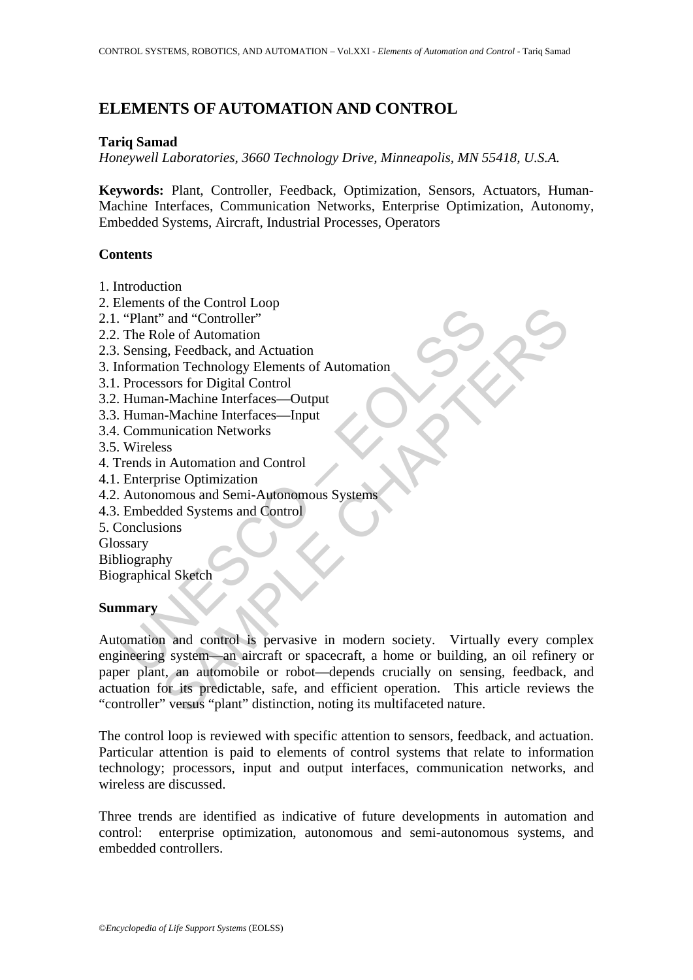# **ELEMENTS OF AUTOMATION AND CONTROL**

### **Tariq Samad**

*Honeywell Laboratories, 3660 Technology Drive, Minneapolis, MN 55418, U.S.A.* 

**Keywords:** Plant, Controller, Feedback, Optimization, Sensors, Actuators, Human-Machine Interfaces, Communication Networks, Enterprise Optimization, Autonomy, Embedded Systems, Aircraft, Industrial Processes, Operators

## **Contents**

- 1. Introduction
- 2. Elements of the Control Loop
- 2.1. "Plant" and "Controller"
- 2.2. The Role of Automation
- 2.3. Sensing, Feedback, and Actuation
- 3. Information Technology Elements of Automation
- 3.1. Processors for Digital Control
- 3.2. Human-Machine Interfaces—Output
- 3.3. Human-Machine Interfaces—Input
- 3.4. Communication Networks
- 3.5. Wireless
- 4. Trends in Automation and Control
- 4.1. Enterprise Optimization
- 4.2. Autonomous and Semi-Autonomous Systems
- 4.3. Embedded Systems and Control
- 5. Conclusions
- Glossary
- Bibliography

Biographical Sketch

#### **Summary**

Finant of an Exercise of Automation<br>
"Plant" and "Controller"<br>
The Role of Automation<br>
Sensing, Feedback, and Actuation<br>
Frocessors for Digital Control<br>
Human-Machine Interfaces—Output<br>
Human-Machine Interfaces—Input<br>
Comm So the Conduct Development of Automation<br>
2 and "Controller"<br>
The of Automation<br>
2 and "Controller"<br>
The Chapter of Automation<br>
Sors for Digital Control<br>
Sors for Digital Control<br>
Sors for Digital Control<br>
Sors for Digital Automation and control is pervasive in modern society. Virtually every complex engineering system—an aircraft or spacecraft, a home or building, an oil refinery or paper plant, an automobile or robot—depends crucially on sensing, feedback, and actuation for its predictable, safe, and efficient operation. This article reviews the "controller" versus "plant" distinction, noting its multifaceted nature.

The control loop is reviewed with specific attention to sensors, feedback, and actuation. Particular attention is paid to elements of control systems that relate to information technology; processors, input and output interfaces, communication networks, and wireless are discussed.

Three trends are identified as indicative of future developments in automation and control: enterprise optimization, autonomous and semi-autonomous systems, and embedded controllers.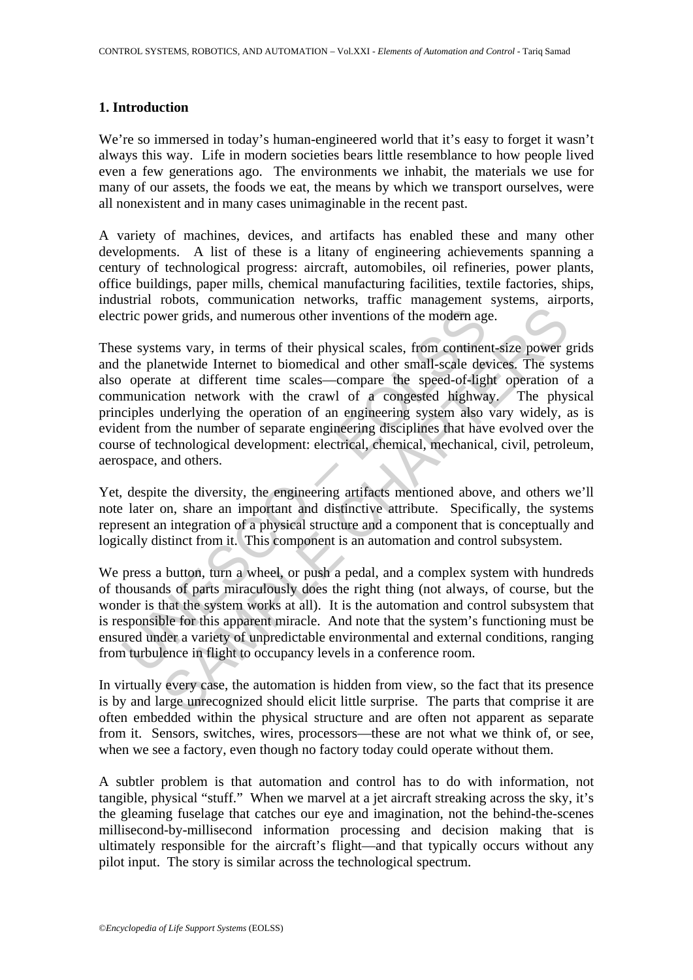#### **1. Introduction**

We're so immersed in today's human-engineered world that it's easy to forget it wasn't always this way. Life in modern societies bears little resemblance to how people lived even a few generations ago. The environments we inhabit, the materials we use for many of our assets, the foods we eat, the means by which we transport ourselves, were all nonexistent and in many cases unimaginable in the recent past.

A variety of machines, devices, and artifacts has enabled these and many other developments. A list of these is a litany of engineering achievements spanning a century of technological progress: aircraft, automobiles, oil refineries, power plants, office buildings, paper mills, chemical manufacturing facilities, textile factories, ships, industrial robots, communication networks, traffic management systems, airports, electric power grids, and numerous other inventions of the modern age.

tric power grids, and numerous other inventions of the modern age systems vary, in terms of their physical scales, from continente the planetwide Internet to biomedical and other small-scale developerate at different time wer grids, and numerous other inventions of the modern age.<br>
wer grids, and numerous other inventions of the modern age.<br>
ems vary, in terms of their physical scales, from continent-size power gent<br>
and therm time scales—c These systems vary, in terms of their physical scales, from continent-size power grids and the planetwide Internet to biomedical and other small-scale devices. The systems also operate at different time scales—compare the speed-of-light operation of a communication network with the crawl of a congested highway. The physical principles underlying the operation of an engineering system also vary widely, as is evident from the number of separate engineering disciplines that have evolved over the course of technological development: electrical, chemical, mechanical, civil, petroleum, aerospace, and others.

Yet, despite the diversity, the engineering artifacts mentioned above, and others we'll note later on, share an important and distinctive attribute. Specifically, the systems represent an integration of a physical structure and a component that is conceptually and logically distinct from it. This component is an automation and control subsystem.

We press a button, turn a wheel, or push a pedal, and a complex system with hundreds of thousands of parts miraculously does the right thing (not always, of course, but the wonder is that the system works at all). It is the automation and control subsystem that is responsible for this apparent miracle. And note that the system's functioning must be ensured under a variety of unpredictable environmental and external conditions, ranging from turbulence in flight to occupancy levels in a conference room.

In virtually every case, the automation is hidden from view, so the fact that its presence is by and large unrecognized should elicit little surprise. The parts that comprise it are often embedded within the physical structure and are often not apparent as separate from it. Sensors, switches, wires, processors—these are not what we think of, or see, when we see a factory, even though no factory today could operate without them.

A subtler problem is that automation and control has to do with information, not tangible, physical "stuff." When we marvel at a jet aircraft streaking across the sky, it's the gleaming fuselage that catches our eye and imagination, not the behind-the-scenes millisecond-by-millisecond information processing and decision making that is ultimately responsible for the aircraft's flight—and that typically occurs without any pilot input. The story is similar across the technological spectrum.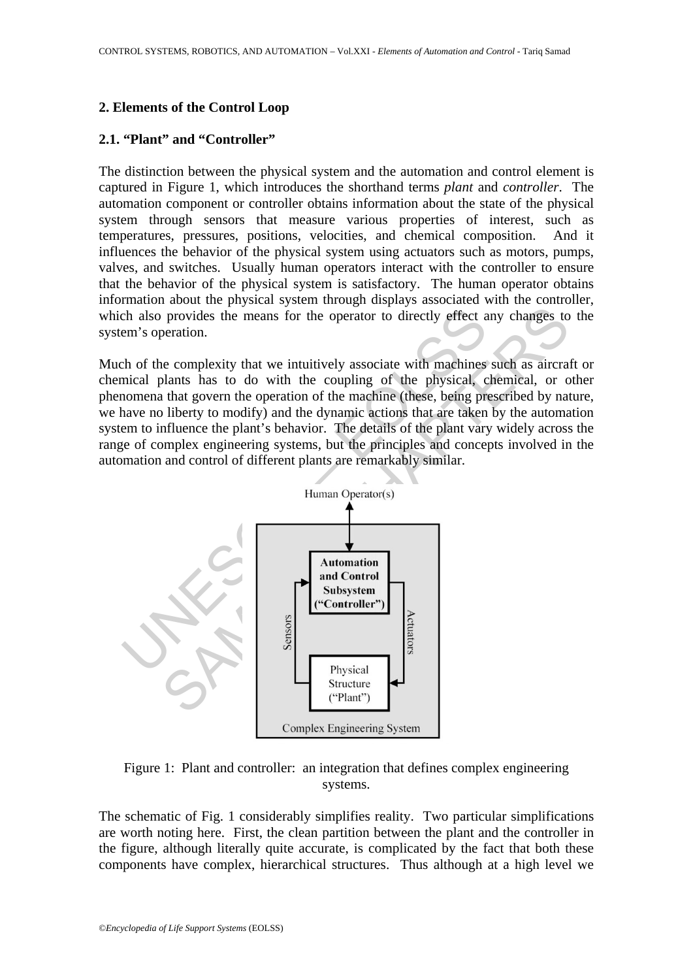### **2. Elements of the Control Loop**

#### **2.1. "Plant" and "Controller"**

The distinction between the physical system and the automation and control element is captured in Figure 1, which introduces the shorthand terms *plant* and *controller*. The automation component or controller obtains information about the state of the physical system through sensors that measure various properties of interest, such as temperatures, pressures, positions, velocities, and chemical composition. And it influences the behavior of the physical system using actuators such as motors, pumps, valves, and switches. Usually human operators interact with the controller to ensure that the behavior of the physical system is satisfactory. The human operator obtains information about the physical system through displays associated with the controller, which also provides the means for the operator to directly effect any changes to the system's operation.

Much of the complexity that we intuitively associate with machines such as aircraft or chemical plants has to do with the coupling of the physical, chemical, or other phenomena that govern the operation of the machine (these, being prescribed by nature, we have no liberty to modify) and the dynamic actions that are taken by the automation system to influence the plant's behavior. The details of the plant vary widely across the range of complex engineering systems, but the principles and concepts involved in the automation and control of different plants are remarkably similar.



Figure 1: Plant and controller: an integration that defines complex engineering systems.

The schematic of Fig. 1 considerably simplifies reality. Two particular simplifications are worth noting here. First, the clean partition between the plant and the controller in the figure, although literally quite accurate, is complicated by the fact that both these components have complex, hierarchical structures. Thus although at a high level we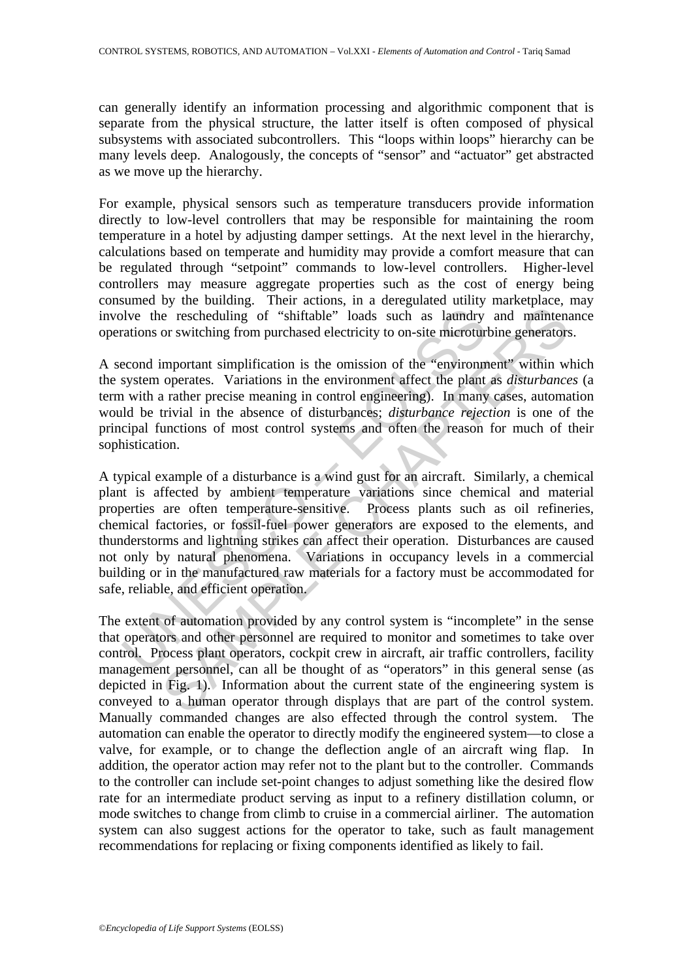can generally identify an information processing and algorithmic component that is separate from the physical structure, the latter itself is often composed of physical subsystems with associated subcontrollers. This "loops within loops" hierarchy can be many levels deep. Analogously, the concepts of "sensor" and "actuator" get abstracted as we move up the hierarchy.

For example, physical sensors such as temperature transducers provide information directly to low-level controllers that may be responsible for maintaining the room temperature in a hotel by adjusting damper settings. At the next level in the hierarchy, calculations based on temperate and humidity may provide a comfort measure that can be regulated through "setpoint" commands to low-level controllers. Higher-level controllers may measure aggregate properties such as the cost of energy being consumed by the building. Their actions, in a deregulated utility marketplace, may involve the rescheduling of "shiftable" loads such as laundry and maintenance operations or switching from purchased electricity to on-site microturbine generators.

A second important simplification is the omission of the "environment" within which the system operates. Variations in the environment affect the plant as *disturbances* (a term with a rather precise meaning in control engineering). In many cases, automation would be trivial in the absence of disturbances; *disturbance rejection* is one of the principal functions of most control systems and often the reason for much of their sophistication.

blve the rescheduling of "shiftable" loads such as laundry<br>ations or switching from purchased electricity to on-site microtur<br>econd important simplification is the omission of the "environm<br>system operates. Variations in t is expected in the main of "shiftable" loads such as laundry and maintenant or switching from purchased electricity to on-site mirroturbine generators important simplification is the omission of the "environment" within we A typical example of a disturbance is a wind gust for an aircraft. Similarly, a chemical plant is affected by ambient temperature variations since chemical and material properties are often temperature-sensitive. Process plants such as oil refineries, chemical factories, or fossil-fuel power generators are exposed to the elements, and thunderstorms and lightning strikes can affect their operation. Disturbances are caused not only by natural phenomena. Variations in occupancy levels in a commercial building or in the manufactured raw materials for a factory must be accommodated for safe, reliable, and efficient operation.

The extent of automation provided by any control system is "incomplete" in the sense that operators and other personnel are required to monitor and sometimes to take over control. Process plant operators, cockpit crew in aircraft, air traffic controllers, facility management personnel, can all be thought of as "operators" in this general sense (as depicted in Fig. 1). Information about the current state of the engineering system is conveyed to a human operator through displays that are part of the control system. Manually commanded changes are also effected through the control system. The automation can enable the operator to directly modify the engineered system—to close a valve, for example, or to change the deflection angle of an aircraft wing flap. In addition, the operator action may refer not to the plant but to the controller. Commands to the controller can include set-point changes to adjust something like the desired flow rate for an intermediate product serving as input to a refinery distillation column, or mode switches to change from climb to cruise in a commercial airliner. The automation system can also suggest actions for the operator to take, such as fault management recommendations for replacing or fixing components identified as likely to fail.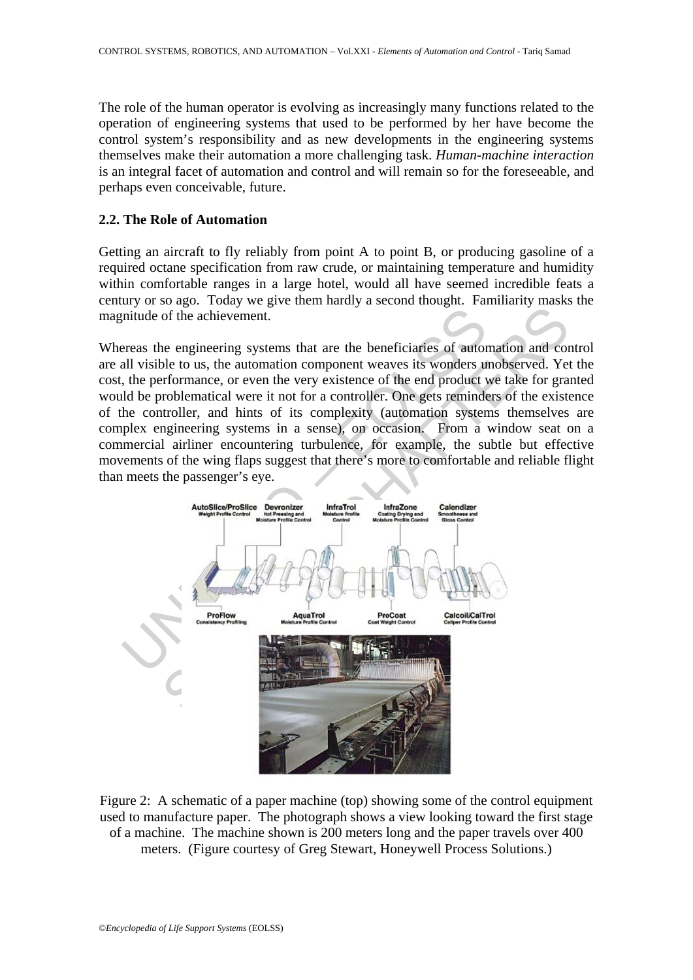The role of the human operator is evolving as increasingly many functions related to the operation of engineering systems that used to be performed by her have become the control system's responsibility and as new developments in the engineering systems themselves make their automation a more challenging task. *Human-machine interaction* is an integral facet of automation and control and will remain so for the foreseeable, and perhaps even conceivable, future.

#### **2.2. The Role of Automation**

Getting an aircraft to fly reliably from point A to point B, or producing gasoline of a required octane specification from raw crude, or maintaining temperature and humidity within comfortable ranges in a large hotel, would all have seemed incredible feats a century or so ago. Today we give them hardly a second thought. Familiarity masks the magnitude of the achievement.

Whereas the engineering systems that are the beneficiaries of automation and control are all visible to us, the automation component weaves its wonders unobserved. Yet the cost, the performance, or even the very existence of the end product we take for granted would be problematical were it not for a controller. One gets reminders of the existence of the controller, and hints of its complexity (automation systems themselves are complex engineering systems in a sense), on occasion. From a window seat on a commercial airliner encountering turbulence, for example, the subtle but effective movements of the wing flaps suggest that there's more to comfortable and reliable flight than meets the passenger's eye.



Figure 2: A schematic of a paper machine (top) showing some of the control equipment used to manufacture paper. The photograph shows a view looking toward the first stage of a machine. The machine shown is 200 meters long and the paper travels over 400 meters. (Figure courtesy of Greg Stewart, Honeywell Process Solutions.)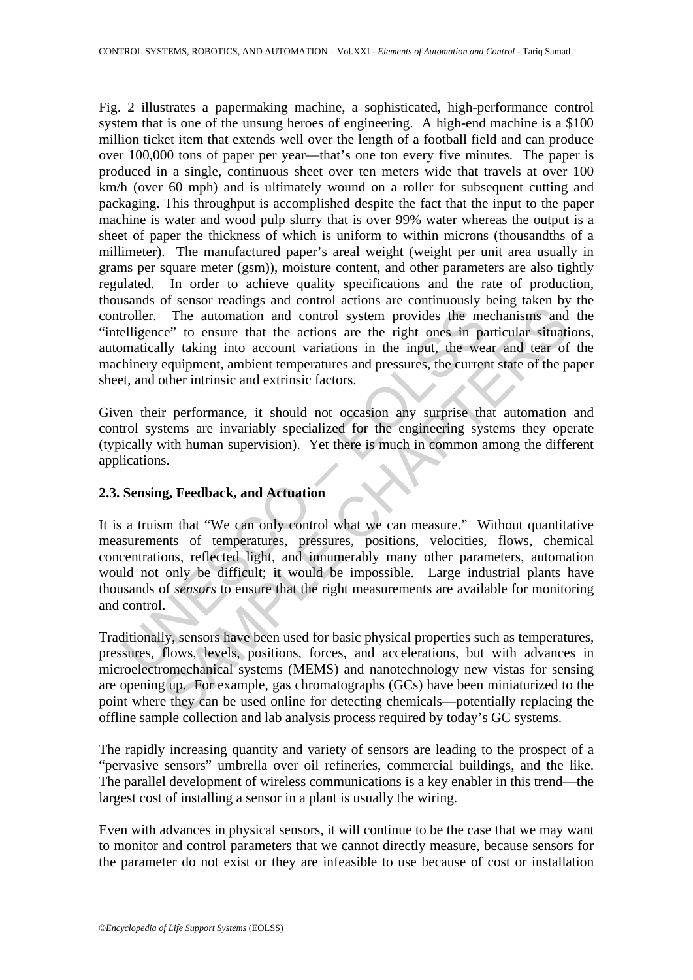Fig. 2 illustrates a papermaking machine, a sophisticated, high-performance control system that is one of the unsung heroes of engineering. A high-end machine is a \$100 million ticket item that extends well over the length of a football field and can produce over 100,000 tons of paper per year—that's one ton every five minutes. The paper is produced in a single, continuous sheet over ten meters wide that travels at over 100 km/h (over 60 mph) and is ultimately wound on a roller for subsequent cutting and packaging. This throughput is accomplished despite the fact that the input to the paper machine is water and wood pulp slurry that is over 99% water whereas the output is a sheet of paper the thickness of which is uniform to within microns (thousandths of a millimeter). The manufactured paper's areal weight (weight per unit area usually in grams per square meter (gsm)), moisture content, and other parameters are also tightly regulated. In order to achieve quality specifications and the rate of production, thousands of sensor readings and control actions are continuously being taken by the controller. The automation and control system provides the mechanisms and the "intelligence" to ensure that the actions are the right ones in particular situations, automatically taking into account variations in the input, the wear and tear of the machinery equipment, ambient temperatures and pressures, the current state of the paper sheet, and other intrinsic and extrinsic factors.

Given their performance, it should not occasion any surprise that automation and control systems are invariably specialized for the engineering systems they operate (typically with human supervision). Yet there is much in common among the different applications.

## **2.3. Sensing, Feedback, and Actuation**

troller. The automation and control system provides the metalligence" to ensure that the actions are the right ones in paramatically taking into account variations in the input, the weakinery equipment, ambient temperature The automation and control system provides the mechanisms and<br>ce" to ensure that the actions are the right ones in particular situatily<br>ally taking into account variations in the input, the wear and tear of<br>equipment, ambi It is a truism that "We can only control what we can measure." Without quantitative measurements of temperatures, pressures, positions, velocities, flows, chemical concentrations, reflected light, and innumerably many other parameters, automation would not only be difficult; it would be impossible. Large industrial plants have thousands of *sensors* to ensure that the right measurements are available for monitoring and control.

Traditionally, sensors have been used for basic physical properties such as temperatures, pressures, flows, levels, positions, forces, and accelerations, but with advances in microelectromechanical systems (MEMS) and nanotechnology new vistas for sensing are opening up. For example, gas chromatographs (GCs) have been miniaturized to the point where they can be used online for detecting chemicals—potentially replacing the offline sample collection and lab analysis process required by today's GC systems.

The rapidly increasing quantity and variety of sensors are leading to the prospect of a "pervasive sensors" umbrella over oil refineries, commercial buildings, and the like. The parallel development of wireless communications is a key enabler in this trend—the largest cost of installing a sensor in a plant is usually the wiring.

Even with advances in physical sensors, it will continue to be the case that we may want to monitor and control parameters that we cannot directly measure, because sensors for the parameter do not exist or they are infeasible to use because of cost or installation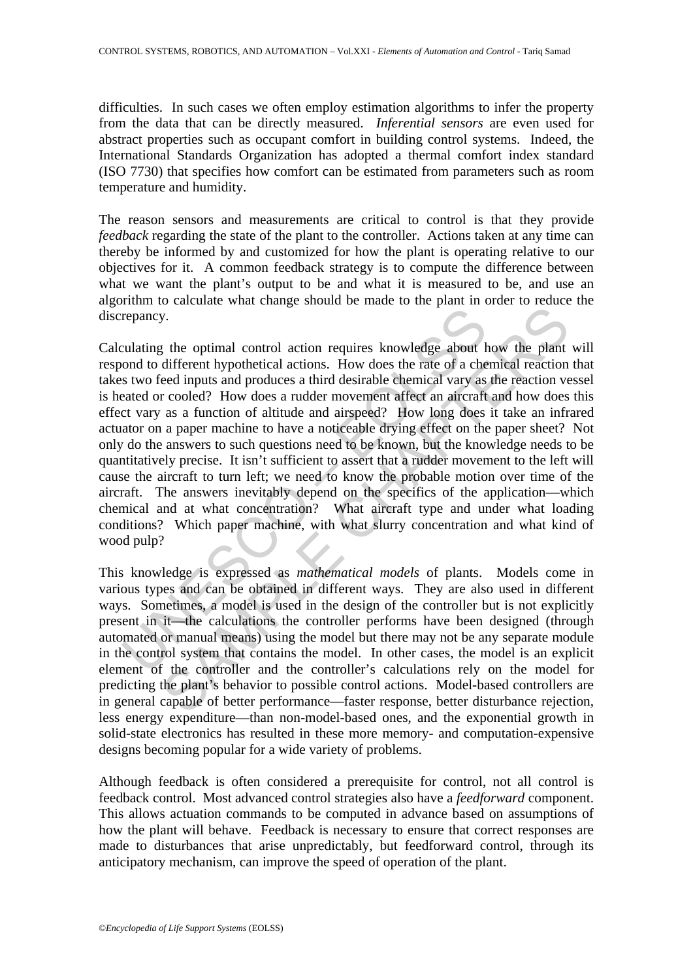difficulties. In such cases we often employ estimation algorithms to infer the property from the data that can be directly measured. *Inferential sensors* are even used for abstract properties such as occupant comfort in building control systems. Indeed, the International Standards Organization has adopted a thermal comfort index standard (ISO 7730) that specifies how comfort can be estimated from parameters such as room temperature and humidity.

The reason sensors and measurements are critical to control is that they provide *feedback* regarding the state of the plant to the controller. Actions taken at any time can thereby be informed by and customized for how the plant is operating relative to our objectives for it. A common feedback strategy is to compute the difference between what we want the plant's output to be and what it is measured to be, and use an algorithm to calculate what change should be made to the plant in order to reduce the discrepancy.

repancy.<br>
and the optimal control action requires knowledge about hond to different hypothetical actions. How does the rate of a che staw of ed inputs and produces a third desirable chemical vary as seated or cooled? How d by.<br>
The optimal control action requires knowledge about how the plant<br>
different hypothetical actions. How does the rate of a chemical reaction<br>
ced inputs and produces a third desirable chemical vary as the reaction ve<br> Calculating the optimal control action requires knowledge about how the plant will respond to different hypothetical actions. How does the rate of a chemical reaction that takes two feed inputs and produces a third desirable chemical vary as the reaction vessel is heated or cooled? How does a rudder movement affect an aircraft and how does this effect vary as a function of altitude and airspeed? How long does it take an infrared actuator on a paper machine to have a noticeable drying effect on the paper sheet? Not only do the answers to such questions need to be known, but the knowledge needs to be quantitatively precise. It isn't sufficient to assert that a rudder movement to the left will cause the aircraft to turn left; we need to know the probable motion over time of the aircraft. The answers inevitably depend on the specifics of the application—which chemical and at what concentration? What aircraft type and under what loading conditions? Which paper machine, with what slurry concentration and what kind of wood pulp?

This knowledge is expressed as *mathematical models* of plants. Models come in various types and can be obtained in different ways. They are also used in different ways. Sometimes, a model is used in the design of the controller but is not explicitly present in it—the calculations the controller performs have been designed (through automated or manual means) using the model but there may not be any separate module in the control system that contains the model. In other cases, the model is an explicit element of the controller and the controller's calculations rely on the model for predicting the plant's behavior to possible control actions. Model-based controllers are in general capable of better performance—faster response, better disturbance rejection, less energy expenditure—than non-model-based ones, and the exponential growth in solid-state electronics has resulted in these more memory- and computation-expensive designs becoming popular for a wide variety of problems.

Although feedback is often considered a prerequisite for control, not all control is feedback control. Most advanced control strategies also have a *feedforward* component. This allows actuation commands to be computed in advance based on assumptions of how the plant will behave. Feedback is necessary to ensure that correct responses are made to disturbances that arise unpredictably, but feedforward control, through its anticipatory mechanism, can improve the speed of operation of the plant.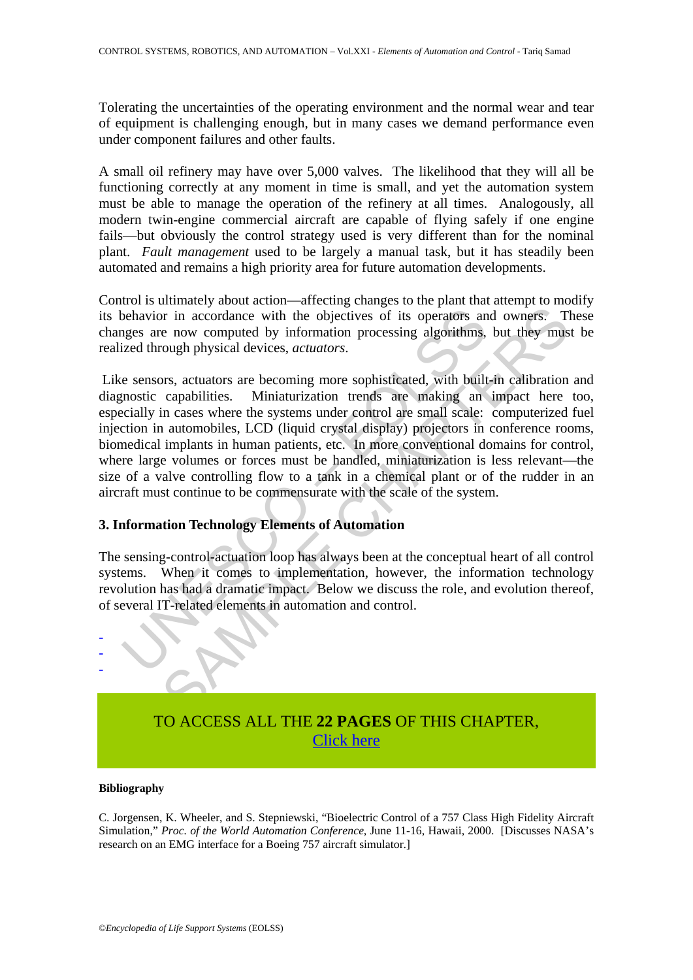Tolerating the uncertainties of the operating environment and the normal wear and tear of equipment is challenging enough, but in many cases we demand performance even under component failures and other faults.

A small oil refinery may have over 5,000 valves. The likelihood that they will all be functioning correctly at any moment in time is small, and yet the automation system must be able to manage the operation of the refinery at all times. Analogously, all modern twin-engine commercial aircraft are capable of flying safely if one engine fails—but obviously the control strategy used is very different than for the nominal plant. *Fault management* used to be largely a manual task, but it has steadily been automated and remains a high priority area for future automation developments.

Control is ultimately about action—affecting changes to the plant that attempt to modify its behavior in accordance with the objectives of its operators and owners. These changes are now computed by information processing algorithms, but they must be realized through physical devices, *actuators*.

behavior in accordance with the objectives of its operators an<br>ges are now computed by information processing algorithms,<br>ized through physical devices, *actuators*.<br>e sensors, actuators are becoming more sophisticated, wi The mission and controls. The observation of the objectives of its operators and owners. The now computed by information processing algorithms, but they must be now computed by information processing algorithms, but they m Like sensors, actuators are becoming more sophisticated, with built-in calibration and diagnostic capabilities. Miniaturization trends are making an impact here too, especially in cases where the systems under control are small scale: computerized fuel injection in automobiles, LCD (liquid crystal display) projectors in conference rooms, biomedical implants in human patients, etc. In more conventional domains for control, where large volumes or forces must be handled, miniaturization is less relevant—the size of a valve controlling flow to a tank in a chemical plant or of the rudder in an aircraft must continue to be commensurate with the scale of the system.

#### **3. Information Technology Elements of Automation**

The sensing-control-actuation loop has always been at the conceptual heart of all control systems. When it comes to implementation, however, the information technology revolution has had a dramatic impact. Below we discuss the role, and evolution thereof, of several IT-related elements in automation and control.



# TO ACCESS ALL THE **22 PAGES** OF THIS CHAPTER, [Click here](https://www.eolss.net/ebooklib/sc_cart.aspx?File=E6-43-37-00)

#### **Bibliography**

C. Jorgensen, K. Wheeler, and S. Stepniewski, "Bioelectric Control of a 757 Class High Fidelity Aircraft Simulation," *Proc. of the World Automation Conference*, June 11-16, Hawaii, 2000. [Discusses NASA's research on an EMG interface for a Boeing 757 aircraft simulator.]